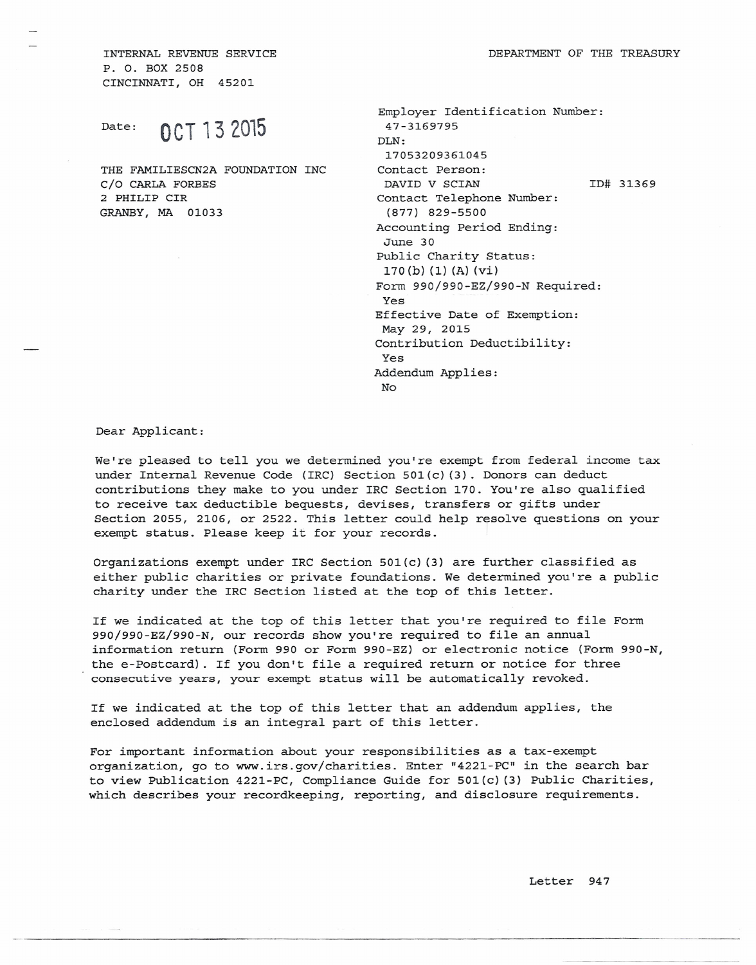INTERNAL REVENUE SERVICE P. O. BOX 2508 CINCINNATI, OH 45201

Date: **OCT 13 2015**

THE FAMILIESCN2A FOUNDATION INC C/O CARLA FORBES 2 PHILIP CIR GRANBY, MA 01033

| Employer Identification Number: |  |           |
|---------------------------------|--|-----------|
| 47-3169795                      |  |           |
| DT.N:                           |  |           |
| 17053209361045                  |  |           |
| Contact Person:                 |  |           |
| DAVID V SCIAN                   |  | ID# 31369 |
| Contact Telephone Number:       |  |           |
| $(877)$ 829-5500                |  |           |
| Accounting Period Ending:       |  |           |
| June 30                         |  |           |
| Public Charity Status:          |  |           |
| 170(b) (1) (A) (vi)             |  |           |
| Form 990/990-EZ/990-N Required: |  |           |
| Yes                             |  |           |
| Effective Date of Exemption:    |  |           |
| May 29, 2015                    |  |           |
| Contribution Deductibility:     |  |           |
| Yes                             |  |           |
| Addendum Applies:               |  |           |
| No                              |  |           |
|                                 |  |           |

Dear Applicant:

We're pleased to tell you we determined you're exempt from federal income tax under Internal Revenue Code (IRC) Section 501(c} (3). Donors can deduct contributions they make to *you* under IRC Section 170. You're also qualified to receive tax deductible bequests, devises, transfers or gifts under Section 2055, 2106, or 2522. This letter could help resolve questions on your exempt status. Please keep it for your records.

Organizations exempt under IRC Section 501(c} (3) are further classified as either public charities or private foundations. We determined you're a public charity under the IRC Section listed at the top of this letter.

If we indicated at the top of this letter that you're required to file Form 990/990-EZ/990-N, our records show you're required to file an annual information return (Form 990 or Form 990-EZ) or electronic notice (Form 990-N, the e-Postcard). If you don't file a required return or notice for three consecutive years, your exempt status will be automatically revoked.

If we indicated at the top of this letter that an addendum applies, the enclosed addendum is an integral part of this letter.

For important information about your responsibilities as a tax-exempt organization, go to www.irs.gov/charities. Enter "4221-PC" in the search bar to view Publication 4221-PC, Compliance Guide for 501(c} (3) Public Charities, which describes your recordkeeping, reporting, and disclosure requirements.

---------